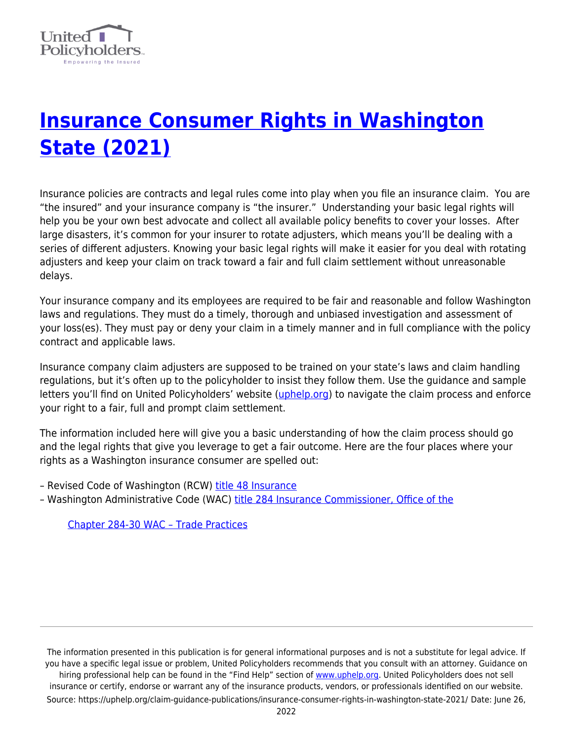

# **[Insurance Consumer Rights in Washington](https://uphelp.org/claim-guidance-publications/insurance-consumer-rights-in-washington-state-2021/) [State \(2021\)](https://uphelp.org/claim-guidance-publications/insurance-consumer-rights-in-washington-state-2021/)**

Insurance policies are contracts and legal rules come into play when you file an insurance claim. You are "the insured" and your insurance company is "the insurer." Understanding your basic legal rights will help you be your own best advocate and collect all available policy benefits to cover your losses. After large disasters, it's common for your insurer to rotate adjusters, which means you'll be dealing with a series of different adjusters. Knowing your basic legal rights will make it easier for you deal with rotating adjusters and keep your claim on track toward a fair and full claim settlement without unreasonable delays.

Your insurance company and its employees are required to be fair and reasonable and follow Washington laws and regulations. They must do a timely, thorough and unbiased investigation and assessment of your loss(es). They must pay or deny your claim in a timely manner and in full compliance with the policy contract and applicable laws.

Insurance company claim adjusters are supposed to be trained on your state's laws and claim handling regulations, but it's often up to the policyholder to insist they follow them. Use the guidance and sample letters you'll find on United Policyholders' website ([uphelp.org](https://www.uphelp.org/)) to navigate the claim process and enforce your right to a fair, full and prompt claim settlement.

The information included here will give you a basic understanding of how the claim process should go and the legal rights that give you leverage to get a fair outcome. Here are the four places where your rights as a Washington insurance consumer are spelled out:

– Revised Code of Washington (RCW) [title 48 Insurance](https://apps.leg.wa.gov/rcw/default.aspx?Cite=48)

- Washington Administrative Code (WAC) [title 284 Insurance Commissioner, Office of the](https://apps.leg.wa.gov/wac/default.aspx?cite=284)

[Chapter 284-30 WAC – Trade Practices](https://apps.leg.wa.gov/wac/default.aspx?cite=284-30)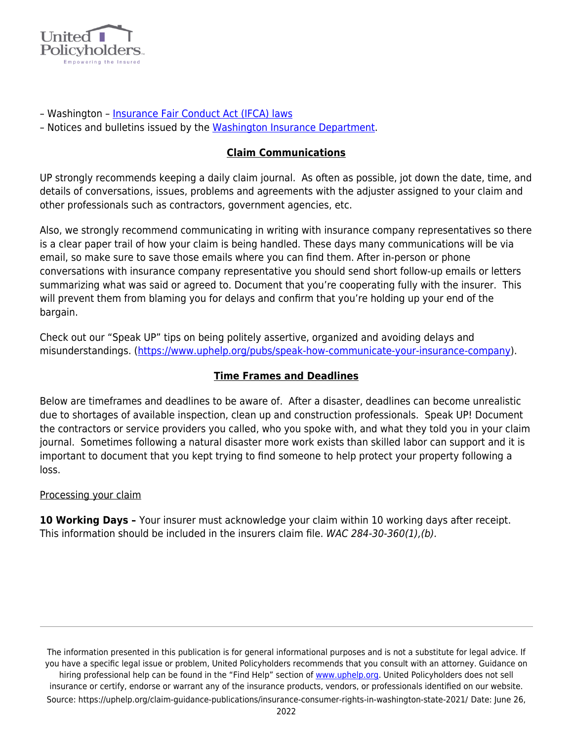

- Washington [Insurance Fair Conduct Act \(IFCA\) laws](https://www.insurance.wa.gov/insurance-fair-conduct-act-ifca-laws-and-rules)
- Notices and bulletins issued by the [Washington Insurance Department.](https://www.insurance.wa.gov/public-notices)

## **Claim Communications**

UP strongly recommends keeping a daily claim journal. As often as possible, jot down the date, time, and details of conversations, issues, problems and agreements with the adjuster assigned to your claim and other professionals such as contractors, government agencies, etc.

Also, we strongly recommend communicating in writing with insurance company representatives so there is a clear paper trail of how your claim is being handled. These days many communications will be via email, so make sure to save those emails where you can find them. After in-person or phone conversations with insurance company representative you should send short follow-up emails or letters summarizing what was said or agreed to. Document that you're cooperating fully with the insurer. This will prevent them from blaming you for delays and confirm that you're holding up your end of the bargain.

Check out our "Speak UP" tips on being politely assertive, organized and avoiding delays and misunderstandings. [\(https://www.uphelp.org/pubs/speak-how-communicate-your-insurance-company\)](https://www.uphelp.org/pubs/speak-how-communicate-your-insurance-company).

## **Time Frames and Deadlines**

Below are timeframes and deadlines to be aware of. After a disaster, deadlines can become unrealistic due to shortages of available inspection, clean up and construction professionals. Speak UP! Document the contractors or service providers you called, who you spoke with, and what they told you in your claim journal. Sometimes following a natural disaster more work exists than skilled labor can support and it is important to document that you kept trying to find someone to help protect your property following a loss.

#### Processing your claim

**10 Working Days –** Your insurer must acknowledge your claim within 10 working days after receipt. This information should be included in the insurers claim file. WAC  $284-30-360(1)$ , (b).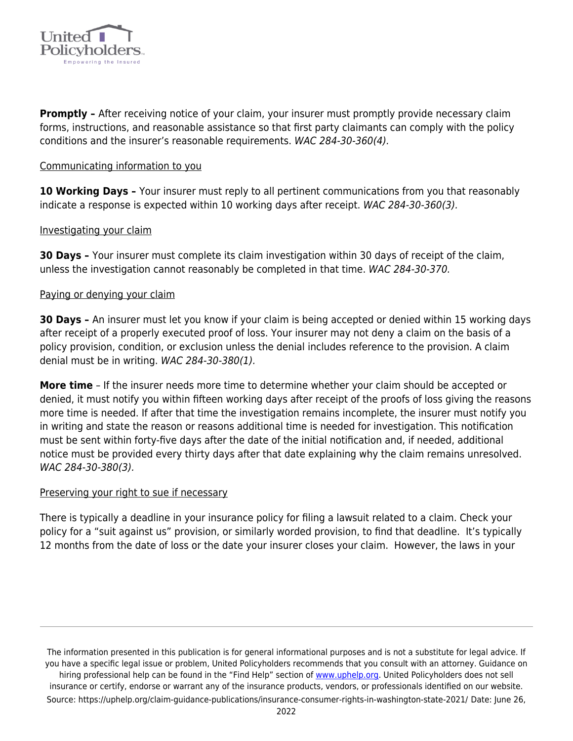

**Promptly –** After receiving notice of your claim, your insurer must promptly provide necessary claim forms, instructions, and reasonable assistance so that first party claimants can comply with the policy conditions and the insurer's reasonable requirements. WAC 284-30-360(4).

#### Communicating information to you

**10 Working Days –** Your insurer must reply to all pertinent communications from you that reasonably indicate a response is expected within 10 working days after receipt. WAC 284-30-360(3).

## Investigating your claim

**30 Days –** Your insurer must complete its claim investigation within 30 days of receipt of the claim, unless the investigation cannot reasonably be completed in that time. WAC 284-30-370.

### Paying or denying your claim

**30 Days –** An insurer must let you know if your claim is being accepted or denied within 15 working days after receipt of a properly executed proof of loss. Your insurer may not deny a claim on the basis of a policy provision, condition, or exclusion unless the denial includes reference to the provision. A claim denial must be in writing. WAC 284-30-380(1).

**More time** – If the insurer needs more time to determine whether your claim should be accepted or denied, it must notify you within fifteen working days after receipt of the proofs of loss giving the reasons more time is needed. If after that time the investigation remains incomplete, the insurer must notify you in writing and state the reason or reasons additional time is needed for investigation. This notification must be sent within forty-five days after the date of the initial notification and, if needed, additional notice must be provided every thirty days after that date explaining why the claim remains unresolved. WAC 284-30-380(3).

#### Preserving your right to sue if necessary

There is typically a deadline in your insurance policy for filing a lawsuit related to a claim. Check your policy for a "suit against us" provision, or similarly worded provision, to find that deadline. It's typically 12 months from the date of loss or the date your insurer closes your claim. However, the laws in your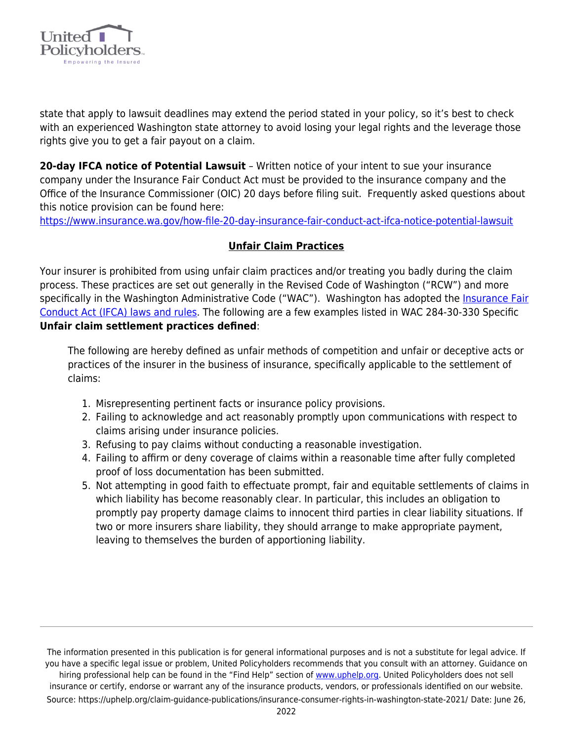

state that apply to lawsuit deadlines may extend the period stated in your policy, so it's best to check with an experienced Washington state attorney to avoid losing your legal rights and the leverage those rights give you to get a fair payout on a claim.

**20-day IFCA notice of Potential Lawsuit** – Written notice of your intent to sue your insurance company under the Insurance Fair Conduct Act must be provided to the insurance company and the Office of the Insurance Commissioner (OIC) 20 days before filing suit. Frequently asked questions about this notice provision can be found here:

<https://www.insurance.wa.gov/how-file-20-day-insurance-fair-conduct-act-ifca-notice-potential-lawsuit>

# **Unfair Claim Practices**

Your insurer is prohibited from using unfair claim practices and/or treating you badly during the claim process. These practices are set out generally in the Revised Code of Washington ("RCW") and more specifically in the Washington Administrative Code ("WAC"). Washington has adopted the [Insurance Fair](https://www.insurance.wa.gov/insurance-fair-conduct-act-ifca-laws-and-rules) [Conduct Act \(IFCA\) laws and rules](https://www.insurance.wa.gov/insurance-fair-conduct-act-ifca-laws-and-rules). The following are a few examples listed in WAC 284-30-330 Specific **Unfair claim settlement practices defined**:

The following are hereby defined as unfair methods of competition and unfair or deceptive acts or practices of the insurer in the business of insurance, specifically applicable to the settlement of claims:

- 1. Misrepresenting pertinent facts or insurance policy provisions.
- 2. Failing to acknowledge and act reasonably promptly upon communications with respect to claims arising under insurance policies.
- 3. Refusing to pay claims without conducting a reasonable investigation.
- 4. Failing to affirm or deny coverage of claims within a reasonable time after fully completed proof of loss documentation has been submitted.
- 5. Not attempting in good faith to effectuate prompt, fair and equitable settlements of claims in which liability has become reasonably clear. In particular, this includes an obligation to promptly pay property damage claims to innocent third parties in clear liability situations. If two or more insurers share liability, they should arrange to make appropriate payment, leaving to themselves the burden of apportioning liability.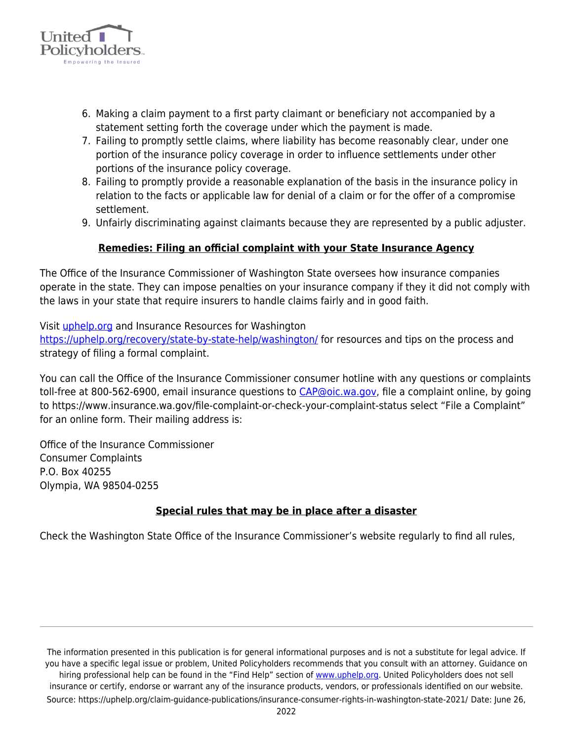

- 6. Making a claim payment to a first party claimant or beneficiary not accompanied by a statement setting forth the coverage under which the payment is made.
- 7. Failing to promptly settle claims, where liability has become reasonably clear, under one portion of the insurance policy coverage in order to influence settlements under other portions of the insurance policy coverage.
- 8. Failing to promptly provide a reasonable explanation of the basis in the insurance policy in relation to the facts or applicable law for denial of a claim or for the offer of a compromise settlement.
- 9. Unfairly discriminating against claimants because they are represented by a public adjuster.

## **Remedies: Filing an official complaint with your State Insurance Agency**

The Office of the Insurance Commissioner of Washington State oversees how insurance companies operate in the state. They can impose penalties on your insurance company if they it did not comply with the laws in your state that require insurers to handle claims fairly and in good faith.

Visit [uphelp.org](https://www.uphelp.org/) and Insurance Resources for Washington

<https://uphelp.org/recovery/state-by-state-help/washington/>for resources and tips on the process and strategy of filing a formal complaint.

You can call the Office of the Insurance Commissioner consumer hotline with any questions or complaints toll-free at 800-562-6900, email insurance questions to [CAP@oic.wa.gov](mailto:CAP@oic.wa.gov), file a complaint online, by going to https://www.insurance.wa.gov/file-complaint-or-check-your-complaint-status select "File a Complaint" for an online form. Their mailing address is:

Office of the Insurance Commissioner Consumer Complaints P.O. Box 40255 Olympia, WA 98504-0255

# **Special rules that may be in place after a disaster**

Check the Washington State Office of the Insurance Commissioner's website regularly to find all rules,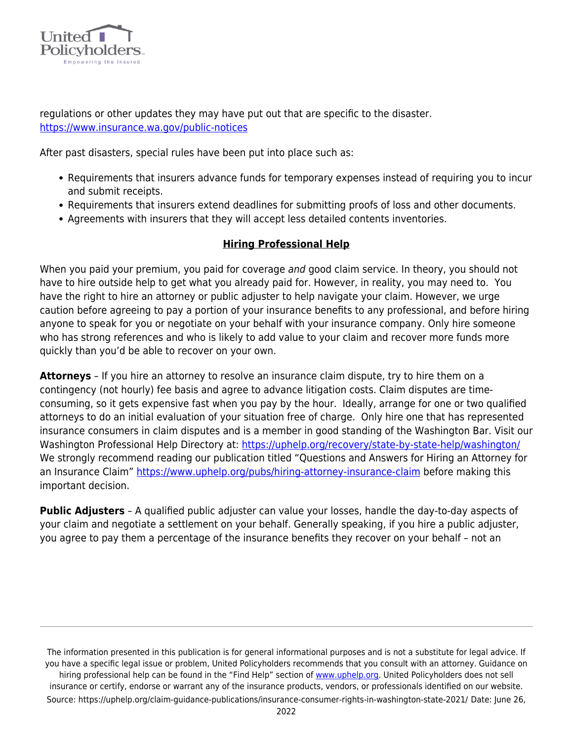

regulations or other updates they may have put out that are specific to the disaster. <https://www.insurance.wa.gov/public-notices>

After past disasters, special rules have been put into place such as:

- Requirements that insurers advance funds for temporary expenses instead of requiring you to incur and submit receipts.
- Requirements that insurers extend deadlines for submitting proofs of loss and other documents.
- Agreements with insurers that they will accept less detailed contents inventories.

# **Hiring Professional Help**

When you paid your premium, you paid for coverage and good claim service. In theory, you should not have to hire outside help to get what you already paid for. However, in reality, you may need to. You have the right to hire an attorney or public adjuster to help navigate your claim. However, we urge caution before agreeing to pay a portion of your insurance benefits to any professional, and before hiring anyone to speak for you or negotiate on your behalf with your insurance company. Only hire someone who has strong references and who is likely to add value to your claim and recover more funds more quickly than you'd be able to recover on your own.

**Attorneys** – If you hire an attorney to resolve an insurance claim dispute, try to hire them on a contingency (not hourly) fee basis and agree to advance litigation costs. Claim disputes are timeconsuming, so it gets expensive fast when you pay by the hour. Ideally, arrange for one or two qualified attorneys to do an initial evaluation of your situation free of charge. Only hire one that has represented insurance consumers in claim disputes and is a member in good standing of the Washington Bar. Visit our Washington Professional Help Directory at: <https://uphelp.org/recovery/state-by-state-help/washington/> We strongly recommend reading our publication titled "Questions and Answers for Hiring an Attorney for an Insurance Claim"<https://www.uphelp.org/pubs/hiring-attorney-insurance-claim> before making this important decision.

**Public Adjusters** – A qualified public adjuster can value your losses, handle the day-to-day aspects of your claim and negotiate a settlement on your behalf. Generally speaking, if you hire a public adjuster, you agree to pay them a percentage of the insurance benefits they recover on your behalf – not an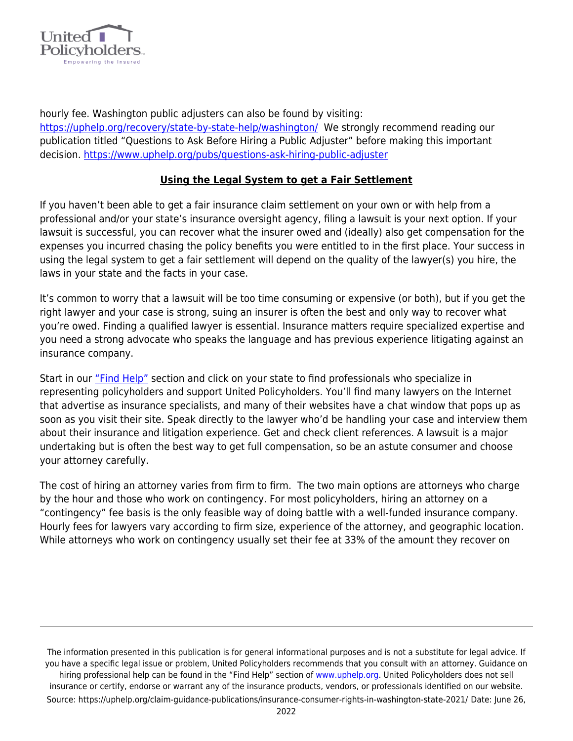

hourly fee. Washington public adjusters can also be found by visiting: <https://uphelp.org/recovery/state-by-state-help/washington/>We strongly recommend reading our publication titled "Questions to Ask Before Hiring a Public Adjuster" before making this important decision. <https://www.uphelp.org/pubs/questions-ask-hiring-public-adjuster>

# **Using the Legal System to get a Fair Settlement**

If you haven't been able to get a fair insurance claim settlement on your own or with help from a professional and/or your state's insurance oversight agency, filing a lawsuit is your next option. If your lawsuit is successful, you can recover what the insurer owed and (ideally) also get compensation for the expenses you incurred chasing the policy benefits you were entitled to in the first place. Your success in using the legal system to get a fair settlement will depend on the quality of the lawyer(s) you hire, the laws in your state and the facts in your case.

It's common to worry that a lawsuit will be too time consuming or expensive (or both), but if you get the right lawyer and your case is strong, suing an insurer is often the best and only way to recover what you're owed. Finding a qualified lawyer is essential. Insurance matters require specialized expertise and you need a strong advocate who speaks the language and has previous experience litigating against an insurance company.

Start in our ["Find Help"](https://uphelp.org/recovery/professional-help-directory/) section and click on your state to find professionals who specialize in representing policyholders and support United Policyholders. You'll find many lawyers on the Internet that advertise as insurance specialists, and many of their websites have a chat window that pops up as soon as you visit their site. Speak directly to the lawyer who'd be handling your case and interview them about their insurance and litigation experience. Get and check client references. A lawsuit is a major undertaking but is often the best way to get full compensation, so be an astute consumer and choose your attorney carefully.

The cost of hiring an attorney varies from firm to firm. The two main options are attorneys who charge by the hour and those who work on contingency. For most policyholders, hiring an attorney on a "contingency" fee basis is the only feasible way of doing battle with a well-funded insurance company. Hourly fees for lawyers vary according to firm size, experience of the attorney, and geographic location. While attorneys who work on contingency usually set their fee at 33% of the amount they recover on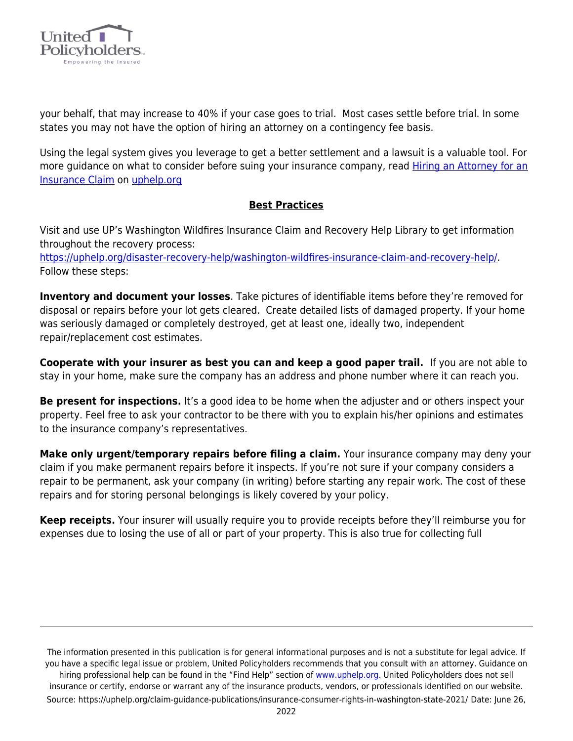

your behalf, that may increase to 40% if your case goes to trial. Most cases settle before trial. In some states you may not have the option of hiring an attorney on a contingency fee basis.

Using the legal system gives you leverage to get a better settlement and a lawsuit is a valuable tool. For more quidance on what to consider before suing your insurance company, read [Hiring an Attorney for an](https://uphelp.org/claim-guidance-publications/hiring-an-attorney-for-an-insurance-claim/) [Insurance Claim](https://uphelp.org/claim-guidance-publications/hiring-an-attorney-for-an-insurance-claim/) on [uphelp.org](http://uphelp.org/)

## **Best Practices**

Visit and use UP's Washington Wildfires Insurance Claim and Recovery Help Library to get information throughout the recovery process:

[https://uphelp.org/disaster-recovery-help/washington-wildfires-insurance-claim-and-recovery-help/.](https://uphelp.org/disaster-recovery-help/washington-wildfires-insurance-claim-and-recovery-help/) Follow these steps:

**Inventory and document your losses**. Take pictures of identifiable items before they're removed for disposal or repairs before your lot gets cleared. Create detailed lists of damaged property. If your home was seriously damaged or completely destroyed, get at least one, ideally two, independent repair/replacement cost estimates.

**Cooperate with your insurer as best you can and keep a good paper trail.** If you are not able to stay in your home, make sure the company has an address and phone number where it can reach you.

**Be present for inspections.** It's a good idea to be home when the adjuster and or others inspect your property. Feel free to ask your contractor to be there with you to explain his/her opinions and estimates to the insurance company's representatives.

**Make only urgent/temporary repairs before filing a claim.** Your insurance company may deny your claim if you make permanent repairs before it inspects. If you're not sure if your company considers a repair to be permanent, ask your company (in writing) before starting any repair work. The cost of these repairs and for storing personal belongings is likely covered by your policy.

**Keep receipts.** Your insurer will usually require you to provide receipts before they'll reimburse you for expenses due to losing the use of all or part of your property. This is also true for collecting full